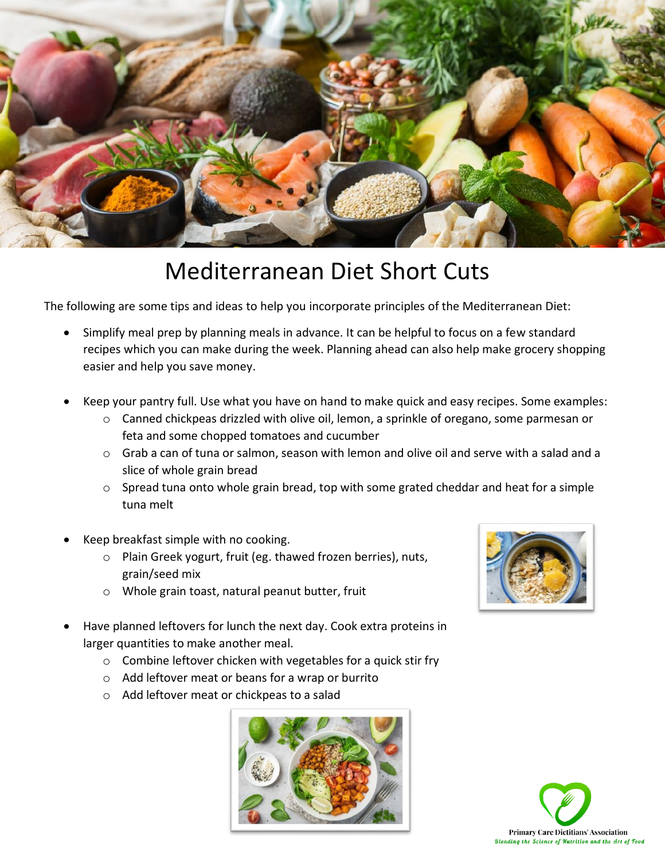

## Mediterranean Diet Short Cuts

The following are some tips and ideas to help you incorporate principles of the Mediterranean Diet:

- Simplify meal prep by planning meals in advance. It can be helpful to focus on a few standard recipes which you can make during the week. Planning ahead can also help make grocery shopping easier and help you save money.
- Keep your pantry full. Use what you have on hand to make quick and easy recipes. Some examples:
	- $\circ$  Canned chickpeas drizzled with olive oil, lemon, a sprinkle of oregano, some parmesan or feta and some chopped tomatoes and cucumber
	- o Grab a can of tuna or salmon, season with lemon and olive oil and serve with a salad and a slice of whole grain bread
	- o Spread tuna onto whole grain bread, top with some grated cheddar and heat for a simple tuna melt
- Keep breakfast simple with no cooking.
	- o Plain Greek yogurt, fruit (eg. thawed frozen berries), nuts, grain/seed mix
	- o Whole grain toast, natural peanut butter, fruit
- Have planned leftovers for lunch the next day. Cook extra proteins in larger quantities to make another meal.
	- o Combine leftover chicken with vegetables for a quick stir fry
	- o Add leftover meat or beans for a wrap or burrito
	- o Add leftover meat or chickpeas to a salad